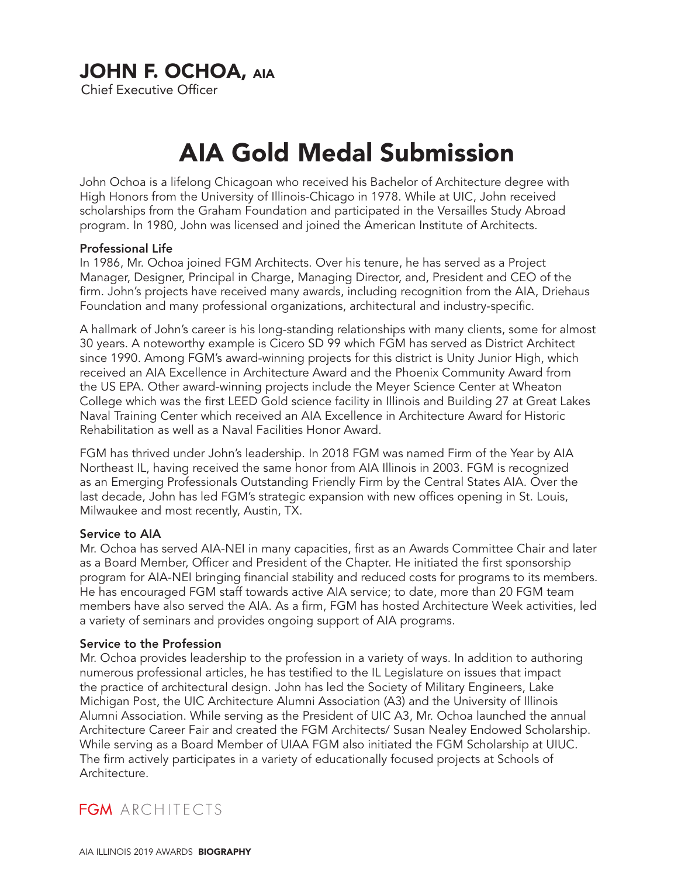# JOHN F. OCHOA, AIA

Chief Executive Officer

# AIA Gold Medal Submission

John Ochoa is a lifelong Chicagoan who received his Bachelor of Architecture degree with High Honors from the University of Illinois-Chicago in 1978. While at UIC, John received scholarships from the Graham Foundation and participated in the Versailles Study Abroad program. In 1980, John was licensed and joined the American Institute of Architects.

#### Professional Life

In 1986, Mr. Ochoa joined FGM Architects. Over his tenure, he has served as a Project Manager, Designer, Principal in Charge, Managing Director, and, President and CEO of the firm. John's projects have received many awards, including recognition from the AIA, Driehaus Foundation and many professional organizations, architectural and industry-specific.

A hallmark of John's career is his long-standing relationships with many clients, some for almost 30 years. A noteworthy example is Cicero SD 99 which FGM has served as District Architect since 1990. Among FGM's award-winning projects for this district is Unity Junior High, which received an AIA Excellence in Architecture Award and the Phoenix Community Award from the US EPA. Other award-winning projects include the Meyer Science Center at Wheaton College which was the first LEED Gold science facility in Illinois and Building 27 at Great Lakes Naval Training Center which received an AIA Excellence in Architecture Award for Historic Rehabilitation as well as a Naval Facilities Honor Award.

FGM has thrived under John's leadership. In 2018 FGM was named Firm of the Year by AIA Northeast IL, having received the same honor from AIA Illinois in 2003. FGM is recognized as an Emerging Professionals Outstanding Friendly Firm by the Central States AIA. Over the last decade, John has led FGM's strategic expansion with new offices opening in St. Louis, Milwaukee and most recently, Austin, TX.

#### Service to AIA

Mr. Ochoa has served AIA-NEI in many capacities, first as an Awards Committee Chair and later as a Board Member, Officer and President of the Chapter. He initiated the first sponsorship program for AIA-NEI bringing financial stability and reduced costs for programs to its members. He has encouraged FGM staff towards active AIA service; to date, more than 20 FGM team members have also served the AIA. As a firm, FGM has hosted Architecture Week activities, led a variety of seminars and provides ongoing support of AIA programs.

#### Service to the Profession

Mr. Ochoa provides leadership to the profession in a variety of ways. In addition to authoring numerous professional articles, he has testified to the IL Legislature on issues that impact the practice of architectural design. John has led the Society of Military Engineers, Lake Michigan Post, the UIC Architecture Alumni Association (A3) and the University of Illinois Alumni Association. While serving as the President of UIC A3, Mr. Ochoa launched the annual Architecture Career Fair and created the FGM Architects/ Susan Nealey Endowed Scholarship. While serving as a Board Member of UIAA FGM also initiated the FGM Scholarship at UIUC. The firm actively participates in a variety of educationally focused projects at Schools of Architecture.

## FGM ARCHITECTS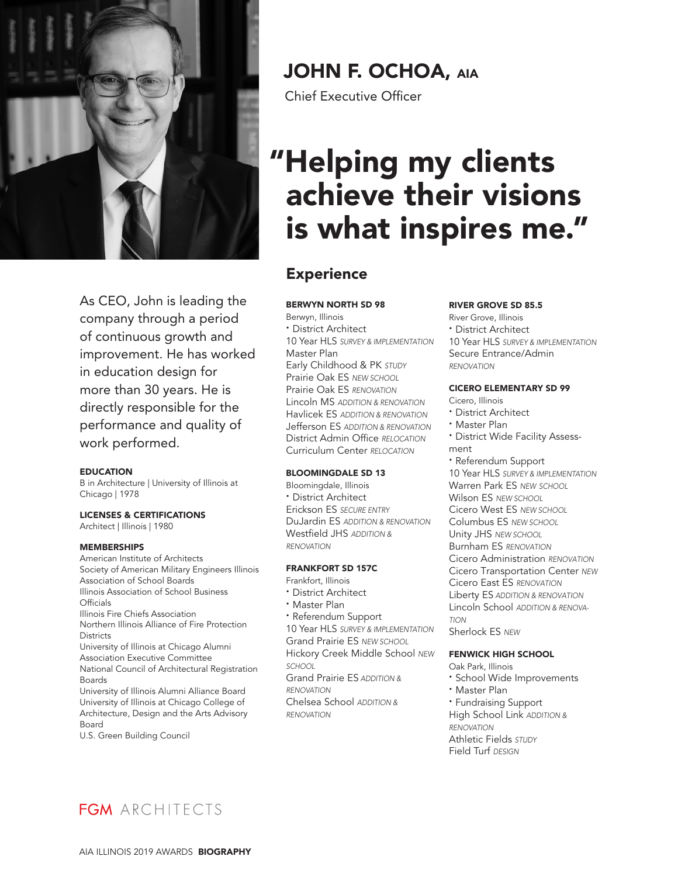

As CEO, John is leading the company through a period of continuous growth and improvement. He has worked in education design for more than 30 years. He is directly responsible for the performance and quality of work performed.

#### EDUCATION

B in Architecture | University of Illinois at Chicago | 1978

LICENSES & CERTIFICATIONS Architect | Illinois | 1980

#### MEMBERSHIPS

American Institute of Architects Society of American Military Engineers Illinois Association of School Boards Illinois Association of School Business **Officials** Illinois Fire Chiefs Association Northern Illinois Alliance of Fire Protection **Districts** University of Illinois at Chicago Alumni Association Executive Committee National Council of Architectural Registration Boards University of Illinois Alumni Alliance Board University of Illinois at Chicago College of Architecture, Design and the Arts Advisory Board U.S. Green Building Council

# JOHN F. OCHOA, AIA

Chief Executive Officer

# "Helping my clients achieve their visions is what inspires me."

## **Experience**

#### BERWYN NORTH SD 98

Berwyn, Illinois **·** District Architect 10 Year HLS *SURVEY & IMPLEMENTATION* Master Plan Early Childhood & PK *STUDY* Prairie Oak ES *NEW SCHOOL* Prairie Oak ES *RENOVATION* Lincoln MS *ADDITION & RENOVATION* Havlicek ES *ADDITION & RENOVATION* Jefferson ES *ADDITION & RENOVATION* District Admin Office *RELOCATION*  Curriculum Center *RELOCATION*

#### BLOOMINGDALE SD 13

Bloomingdale, Illinois **·** District Architect Erickson ES *SECURE ENTRY* DuJardin ES *ADDITION & RENOVATION* Westfield JHS *ADDITION & RENOVATION*

#### FRANKFORT SD 157C

- Frankfort, Illinois
- **·** District Architect
- **·** Master Plan

**·** Referendum Support 10 Year HLS *SURVEY & IMPLEMENTATION* Grand Prairie ES *NEW SCHOOL* Hickory Creek Middle School *NEW SCHOOL* Grand Prairie ES *ADDITION & RENOVATION* Chelsea School *ADDITION & RENOVATION*

#### RIVER GROVE SD 85.5

River Grove, Illinois **·** District Architect 10 Year HLS *SURVEY & IMPLEMENTATION* Secure Entrance/Admin *RENOVATION*

#### CICERO ELEMENTARY SD 99

Cicero, Illinois

- **·** District Architect
- **·** Master Plan
- **·** District Wide Facility Assessment
- **·** Referendum Support
- 10 Year HLS *SURVEY & IMPLEMENTATION* Warren Park ES *NEW SCHOOL* Wilson ES *NEW SCHOOL* Cicero West ES *NEW SCHOOL* Columbus ES *NEW SCHOOL* Unity JHS *NEW SCHOOL* Burnham ES *RENOVATION* Cicero Administration *RENOVATION* Cicero Transportation Center *NEW* Cicero East ES *RENOVATION* Liberty ES *ADDITION & RENOVATION* Lincoln School *ADDITION & RENOVA-TION* Sherlock ES *NEW*

## FENWICK HIGH SCHOOL

Oak Park, Illinois

- **·** School Wide Improvements
- **·** Master Plan

**·** Fundraising Support High School Link *ADDITION & RENOVATION* Athletic Fields *STUDY* Field Turf *DESIGN*

FGM ARCHITECTS